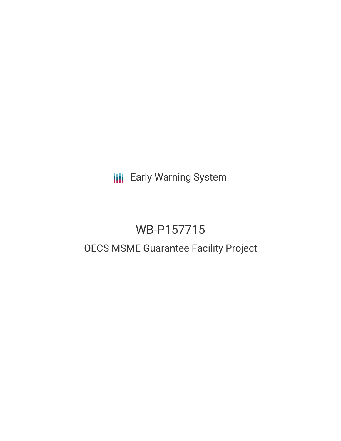**III** Early Warning System

# WB-P157715

## OECS MSME Guarantee Facility Project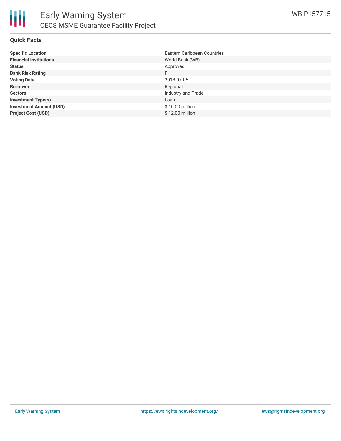

#### **Quick Facts**

| <b>Specific Location</b>       | Eastern Caribbean Countries |
|--------------------------------|-----------------------------|
| <b>Financial Institutions</b>  | World Bank (WB)             |
| <b>Status</b>                  | Approved                    |
| <b>Bank Risk Rating</b>        | FI                          |
| <b>Voting Date</b>             | 2018-07-05                  |
| <b>Borrower</b>                | Regional                    |
| <b>Sectors</b>                 | Industry and Trade          |
| <b>Investment Type(s)</b>      | Loan                        |
| <b>Investment Amount (USD)</b> | \$10.00 million             |
| <b>Project Cost (USD)</b>      | \$12.00 million             |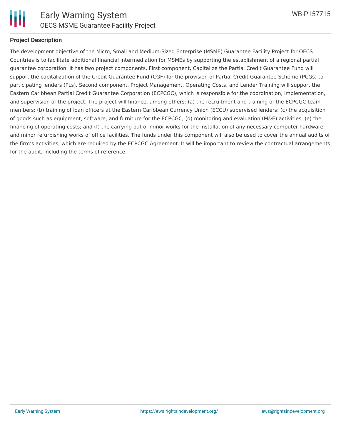

#### **Project Description**

The development objective of the Micro, Small and Medium-Sized Enterprise (MSME) Guarantee Facility Project for OECS Countries is to facilitate additional financial intermediation for MSMEs by supporting the establishment of a regional partial guarantee corporation. It has two project components. First component, Capitalize the Partial Credit Guarantee Fund will support the capitalization of the Credit Guarantee Fund (CGF) for the provision of Partial Credit Guarantee Scheme (PCGs) to participating lenders (PLs). Second component, Project Management, Operating Costs, and Lender Training will support the Eastern Caribbean Partial Credit Guarantee Corporation (ECPCGC), which is responsible for the coordination, implementation, and supervision of the project. The project will finance, among others: (a) the recruitment and training of the ECPCGC team members; (b) training of loan officers at the Eastern Caribbean Currency Union (ECCU) supervised lenders; (c) the acquisition of goods such as equipment, software, and furniture for the ECPCGC; (d) monitoring and evaluation (M&E) activities; (e) the financing of operating costs; and (f) the carrying out of minor works for the installation of any necessary computer hardware and minor refurbishing works of office facilities. The funds under this component will also be used to cover the annual audits of the firm's activities, which are required by the ECPCGC Agreement. It will be important to review the contractual arrangements for the audit, including the terms of reference.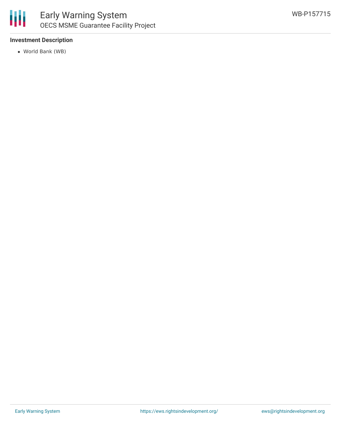

#### **Investment Description**

World Bank (WB)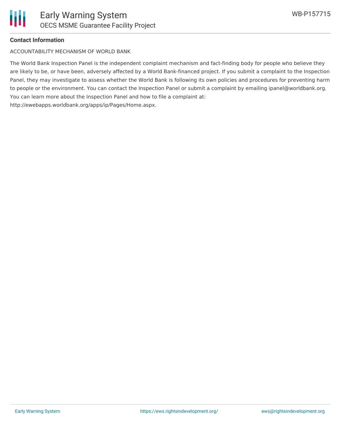#### **Contact Information**

ACCOUNTABILITY MECHANISM OF WORLD BANK

The World Bank Inspection Panel is the independent complaint mechanism and fact-finding body for people who believe they are likely to be, or have been, adversely affected by a World Bank-financed project. If you submit a complaint to the Inspection Panel, they may investigate to assess whether the World Bank is following its own policies and procedures for preventing harm to people or the environment. You can contact the Inspection Panel or submit a complaint by emailing ipanel@worldbank.org. You can learn more about the Inspection Panel and how to file a complaint at: http://ewebapps.worldbank.org/apps/ip/Pages/Home.aspx.